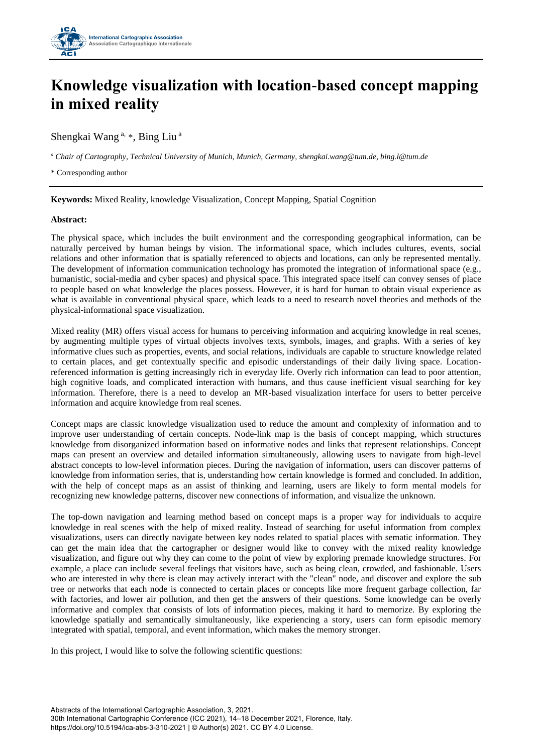

## **Knowledge visualization with location-based concept mapping in mixed reality**

Shengkai Wang <sup>a, \*</sup>, Bing Liu<sup>a</sup>

*<sup>a</sup> Chair of Cartography, Technical University of Munich, Munich, Germany, shengkai.wang@tum.de, bing.l@tum.de* 

\* Corresponding author

**Keywords:** Mixed Reality, knowledge Visualization, Concept Mapping, Spatial Cognition

## **Abstract:**

The physical space, which includes the built environment and the corresponding geographical information, can be naturally perceived by human beings by vision. The informational space, which includes cultures, events, social relations and other information that is spatially referenced to objects and locations, can only be represented mentally. The development of information communication technology has promoted the integration of informational space (e.g., humanistic, social-media and cyber spaces) and physical space. This integrated space itself can convey senses of place to people based on what knowledge the places possess. However, it is hard for human to obtain visual experience as what is available in conventional physical space, which leads to a need to research novel theories and methods of the physical-informational space visualization.

Mixed reality (MR) offers visual access for humans to perceiving information and acquiring knowledge in real scenes, by augmenting multiple types of virtual objects involves texts, symbols, images, and graphs. With a series of key informative clues such as properties, events, and social relations, individuals are capable to structure knowledge related to certain places, and get contextually specific and episodic understandings of their daily living space. Locationreferenced information is getting increasingly rich in everyday life. Overly rich information can lead to poor attention, high cognitive loads, and complicated interaction with humans, and thus cause inefficient visual searching for key information. Therefore, there is a need to develop an MR-based visualization interface for users to better perceive information and acquire knowledge from real scenes.

Concept maps are classic knowledge visualization used to reduce the amount and complexity of information and to improve user understanding of certain concepts. Node-link map is the basis of concept mapping, which structures knowledge from disorganized information based on informative nodes and links that represent relationships. Concept maps can present an overview and detailed information simultaneously, allowing users to navigate from high-level abstract concepts to low-level information pieces. During the navigation of information, users can discover patterns of knowledge from information series, that is, understanding how certain knowledge is formed and concluded. In addition, with the help of concept maps as an assist of thinking and learning, users are likely to form mental models for recognizing new knowledge patterns, discover new connections of information, and visualize the unknown.

The top-down navigation and learning method based on concept maps is a proper way for individuals to acquire knowledge in real scenes with the help of mixed reality. Instead of searching for useful information from complex visualizations, users can directly navigate between key nodes related to spatial places with sematic information. They can get the main idea that the cartographer or designer would like to convey with the mixed reality knowledge visualization, and figure out why they can come to the point of view by exploring premade knowledge structures. For example, a place can include several feelings that visitors have, such as being clean, crowded, and fashionable. Users who are interested in why there is clean may actively interact with the "clean" node, and discover and explore the sub tree or networks that each node is connected to certain places or concepts like more frequent garbage collection, far with factories, and lower air pollution, and then get the answers of their questions. Some knowledge can be overly informative and complex that consists of lots of information pieces, making it hard to memorize. By exploring the knowledge spatially and semantically simultaneously, like experiencing a story, users can form episodic memory integrated with spatial, temporal, and event information, which makes the memory stronger.

In this project, I would like to solve the following scientific questions: